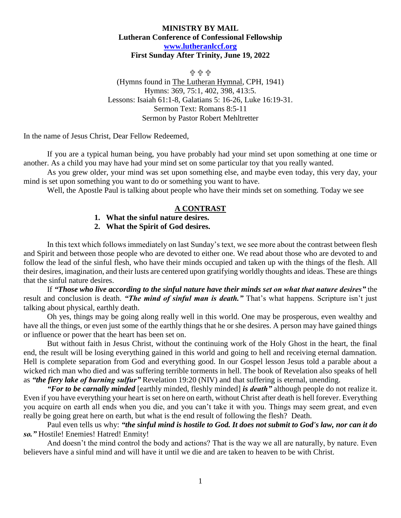## **MINISTRY BY MAIL Lutheran Conference of Confessional Fellowship [www.lutheranlccf.org](http://www.lutheranlccf.org/) First Sunday After Trinity, June 19, 2022**

유 유 유 (Hymns found in The Lutheran Hymnal, CPH, 1941) Hymns: 369, 75:1, 402, 398, 413:5. Lessons: Isaiah 61:1-8, Galatians 5: 16-26, Luke 16:19-31. Sermon Text: Romans 8:5-11 Sermon by Pastor Robert Mehltretter

In the name of Jesus Christ, Dear Fellow Redeemed,

If you are a typical human being, you have probably had your mind set upon something at one time or another. As a child you may have had your mind set on some particular toy that you really wanted.

As you grew older, your mind was set upon something else, and maybe even today, this very day, your mind is set upon something you want to do or something you want to have.

Well, the Apostle Paul is talking about people who have their minds set on something. Today we see

## **A CONTRAST**

- **1. What the sinful nature desires.**
- **2. What the Spirit of God desires.**

In this text which follows immediately on last Sunday's text, we see more about the contrast between flesh and Spirit and between those people who are devoted to either one. We read about those who are devoted to and follow the lead of the sinful flesh, who have their minds occupied and taken up with the things of the flesh. All their desires, imagination, and their lusts are centered upon gratifying worldly thoughts and ideas. These are things that the sinful nature desires.

If *"Those who live according to the sinful nature have their minds set on what that nature desires"* the result and conclusion is death. *"The mind of sinful man is death."* That's what happens. Scripture isn't just talking about physical, earthly death.

Oh yes, things may be going along really well in this world. One may be prosperous, even wealthy and have all the things, or even just some of the earthly things that he or she desires. A person may have gained things or influence or power that the heart has been set on.

But without faith in Jesus Christ, without the continuing work of the Holy Ghost in the heart, the final end, the result will be losing everything gained in this world and going to hell and receiving eternal damnation. Hell is complete separation from God and everything good. In our Gospel lesson Jesus told a parable about a wicked rich man who died and was suffering terrible torments in hell. The book of Revelation also speaks of hell as *"the fiery lake of burning sulfur"* Revelation 19:20 (NIV) and that suffering is eternal, unending.

*"For to be carnally minded* [earthly minded, fleshly minded] *is death"* although people do not realize it. Even if you have everything your heart is set on here on earth, without Christ after death is hell forever. Everything you acquire on earth all ends when you die, and you can't take it with you. Things may seem great, and even really be going great here on earth, but what is the end result of following the flesh? Death.

Paul even tells us why: *"the sinful mind is hostile to God. It does not submit to God's law, nor can it do so."* Hostile! Enemies! Hatred! Enmity!

And doesn't the mind control the body and actions? That is the way we all are naturally, by nature. Even believers have a sinful mind and will have it until we die and are taken to heaven to be with Christ.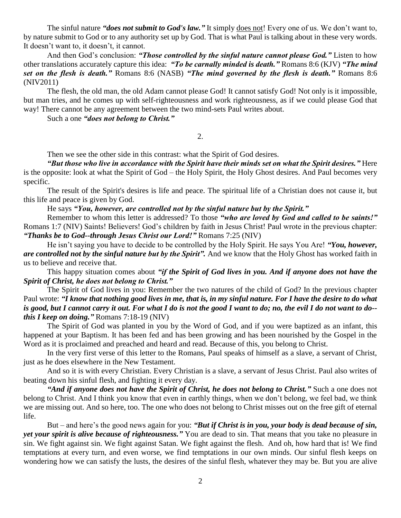The sinful nature *"does not submit to God's law."* It simply does not! Every one of us. We don't want to, by nature submit to God or to any authority set up by God. That is what Paul is talking about in these very words. It doesn't want to, it doesn't, it cannot.

And then God's conclusion: *"Those controlled by the sinful nature cannot please God."* Listen to how other translations accurately capture this idea: *"To be carnally minded is death."* Romans 8:6 (KJV) *"The mind set on the flesh is death."* Romans 8:6 (NASB) *"The mind governed by the flesh is death."* Romans 8:6 (NIV2011)

The flesh, the old man, the old Adam cannot please God! It cannot satisfy God! Not only is it impossible, but man tries, and he comes up with self-righteousness and work righteousness, as if we could please God that way! There cannot be any agreement between the two mind-sets Paul writes about.

Such a one *"does not belong to Christ."* 

2.

Then we see the other side in this contrast: what the Spirit of God desires.

*"But those who live in accordance with the Spirit have their minds set on what the Spirit desires."* Here is the opposite: look at what the Spirit of God – the Holy Spirit, the Holy Ghost desires. And Paul becomes very specific.

The result of the Spirit's desires is life and peace. The spiritual life of a Christian does not cause it, but this life and peace is given by God.

## He says *"You, however, are controlled not by the sinful nature but by the Spirit."*

Remember to whom this letter is addressed? To those *"who are loved by God and called to be saints!"*  Romans 1:7 (NIV) Saints! Believers! God's children by faith in Jesus Christ! Paul wrote in the previous chapter: *"Thanks be to God--through Jesus Christ our Lord!"* Romans 7:25 (NIV)

He isn't saying you have to decide to be controlled by the Holy Spirit. He says You Are! *"You, however, are controlled not by the sinful nature but by the Spirit".* And we know that the Holy Ghost has worked faith in us to believe and receive that.

This happy situation comes about *"if the Spirit of God lives in you. And if anyone does not have the Spirit of Christ, he does not belong to Christ."*

The Spirit of God lives in you: Remember the two natures of the child of God? In the previous chapter Paul wrote: *"I know that nothing good lives in me, that is, in my sinful nature. For I have the desire to do what is good, but I cannot carry it out. For what I do is not the good I want to do; no, the evil I do not want to do- this I keep on doing."* Romans 7:18-19 (NIV)

The Spirit of God was planted in you by the Word of God, and if you were baptized as an infant, this happened at your Baptism. It has been fed and has been growing and has been nourished by the Gospel in the Word as it is proclaimed and preached and heard and read. Because of this, you belong to Christ.

In the very first verse of this letter to the Romans, Paul speaks of himself as a slave, a servant of Christ, just as he does elsewhere in the New Testament.

And so it is with every Christian. Every Christian is a slave, a servant of Jesus Christ. Paul also writes of beating down his sinful flesh, and fighting it every day.

*"And if anyone does not have the Spirit of Christ, he does not belong to Christ."* Such a one does not belong to Christ. And I think you know that even in earthly things, when we don't belong, we feel bad, we think we are missing out. And so here, too. The one who does not belong to Christ misses out on the free gift of eternal life.

But – and here's the good news again for you: *"But if Christ is in you, your body is dead because of sin, yet your spirit is alive because of righteousness."* You are dead to sin. That means that you take no pleasure in sin. We fight against sin. We fight against Satan. We fight against the flesh. And oh, how hard that is! We find temptations at every turn, and even worse, we find temptations in our own minds. Our sinful flesh keeps on wondering how we can satisfy the lusts, the desires of the sinful flesh, whatever they may be. But you are alive